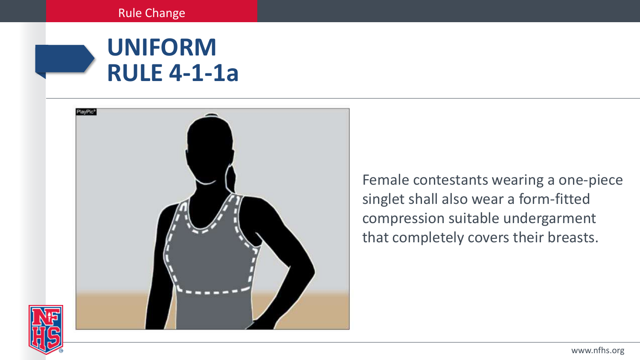# **UNIFORM RULE 4-1-1a**



Female contestants wearing a one-piece singlet shall also wear a form-fitted compression suitable undergarment that completely covers their breasts.

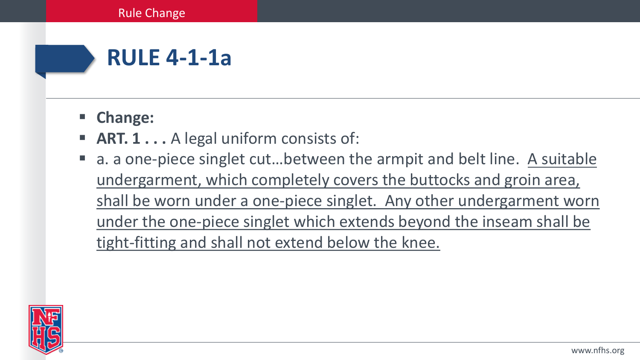

- **Change:**
- **ART. 1...** A legal uniform consists of:
- a. a one-piece singlet cut…between the armpit and belt line. A suitable undergarment, which completely covers the buttocks and groin area, shall be worn under a one-piece singlet. Any other undergarment worn under the one-piece singlet which extends beyond the inseam shall be tight-fitting and shall not extend below the knee.

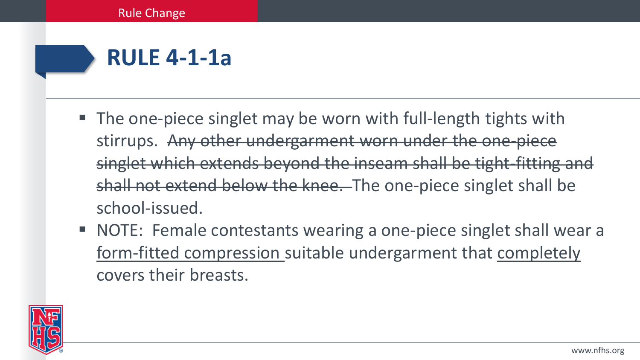# **RULE 4-1-1a**

- The one-piece singlet may be worn with full-length tights with stirrups. Any other undergarment worn under the one-piece singlet which extends beyond the inseam shall be tight-fitting and shall not extend below the knee. The one-piece singlet shall be school-issued.
- NOTE: Female contestants wearing a one-piece singlet shall wear a form-fitted compression suitable undergarment that completely covers their breasts.

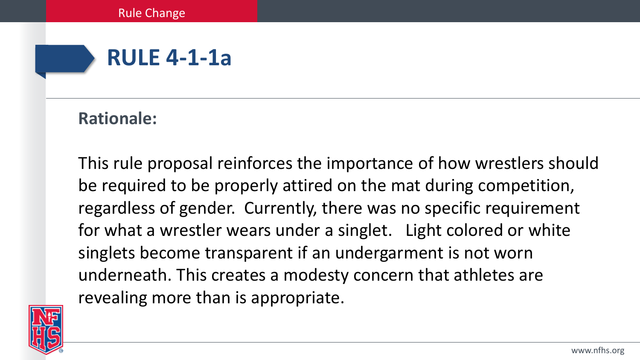

### **Rationale:**

This rule proposal reinforces the importance of how wrestlers should be required to be properly attired on the mat during competition, regardless of gender. Currently, there was no specific requirement for what a wrestler wears under a singlet. Light colored or white singlets become transparent if an undergarment is not worn underneath. This creates a modesty concern that athletes are revealing more than is appropriate.

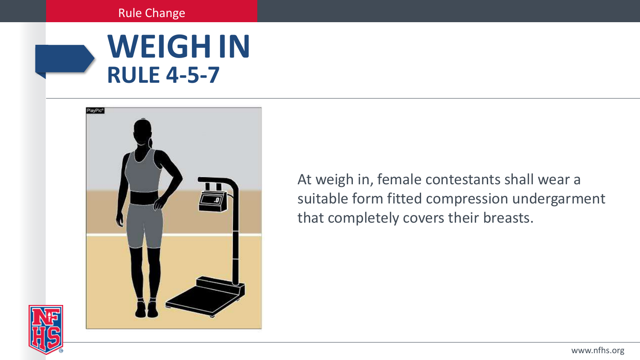#### Rule Change





At weigh in, female contestants shall wear a suitable form fitted compression undergarment that completely covers their breasts.

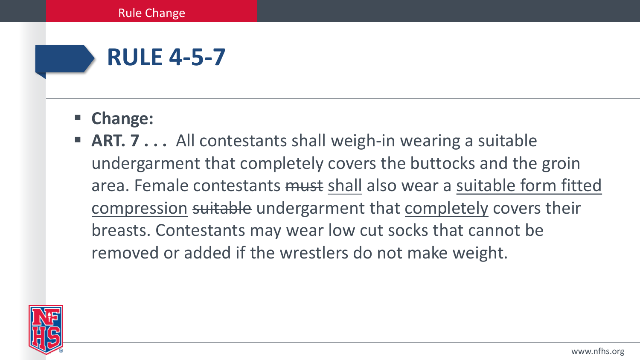# **RULE 4-5-7**

- **Change:**
- **ART. 7...** All contestants shall weigh-in wearing a suitable undergarment that completely covers the buttocks and the groin area. Female contestants must shall also wear a suitable form fitted compression suitable undergarment that completely covers their breasts. Contestants may wear low cut socks that cannot be removed or added if the wrestlers do not make weight.